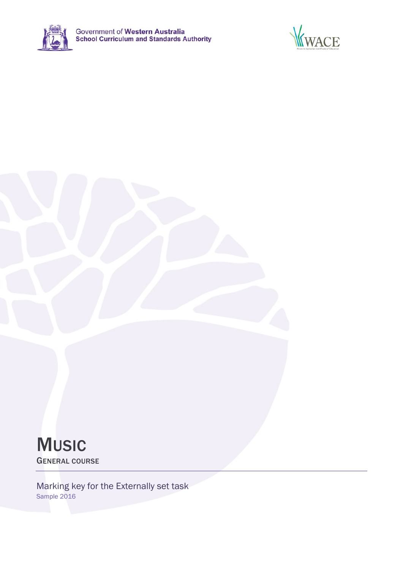





Marking key for the Externally set task Sample 2016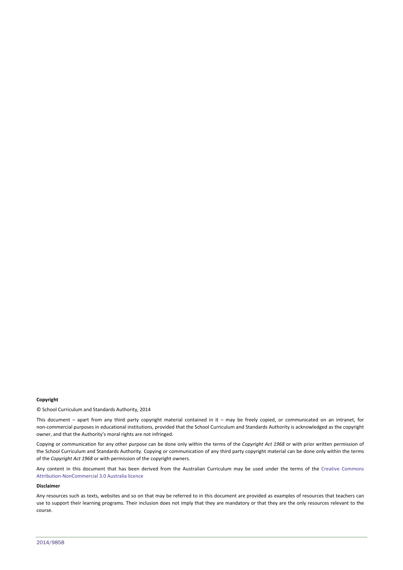#### **Copyright**

© School Curriculum and Standards Authority, 2014

This document – apart from any third party copyright material contained in it – may be freely copied, or communicated on an intranet, for non‐commercial purposes in educational institutions, provided that the School Curriculum and Standards Authority is acknowledged as the copyright owner, and that the Authority's moral rights are not infringed.

Copying or communication for any other purpose can be done only within the terms of the *Copyright Act 1968* or with prior written permission of the School Curriculum and Standards Authority. Copying or communication of any third party copyright material can be done only within the terms of the *Copyright Act 1968* or with permission of the copyright owners.

Any content in this document that has been derived from the Australian Curriculum may be used under the terms of the Creative Commons Attribution‐NonCommercial 3.0 Australia licence

#### **Disclaimer**

Any resources such as texts, websites and so on that may be referred to in this document are provided as examples of resources that teachers can use to support their learning programs. Their inclusion does not imply that they are mandatory or that they are the only resources relevant to the course.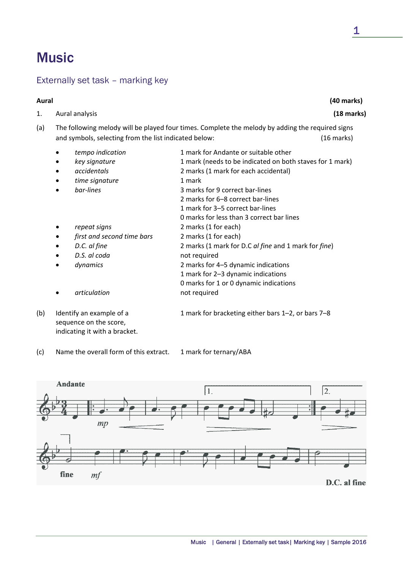# **Music**

# Externally set task – marking key

| Aural |                                                                                                                                                                                                                                               | (40 marks)                                                                                                                                                                                                                                                                                                                                                                                                                                                                                                                                                                 |
|-------|-----------------------------------------------------------------------------------------------------------------------------------------------------------------------------------------------------------------------------------------------|----------------------------------------------------------------------------------------------------------------------------------------------------------------------------------------------------------------------------------------------------------------------------------------------------------------------------------------------------------------------------------------------------------------------------------------------------------------------------------------------------------------------------------------------------------------------------|
| 1.    | Aural analysis                                                                                                                                                                                                                                | (18 marks)                                                                                                                                                                                                                                                                                                                                                                                                                                                                                                                                                                 |
| (a)   | and symbols, selecting from the list indicated below:                                                                                                                                                                                         | The following melody will be played four times. Complete the melody by adding the required signs<br>$(16$ marks)                                                                                                                                                                                                                                                                                                                                                                                                                                                           |
|       | tempo indication<br>$\bullet$<br>key signature<br>accidentals<br>time signature<br>bar-lines<br>$\bullet$<br>repeat signs<br>$\bullet$<br>first and second time bars<br>D.C. al fine<br>D.S. al coda<br>dynamics<br>$\bullet$<br>articulation | 1 mark for Andante or suitable other<br>1 mark (needs to be indicated on both staves for 1 mark)<br>2 marks (1 mark for each accidental)<br>1 mark<br>3 marks for 9 correct bar-lines<br>2 marks for 6-8 correct bar-lines<br>1 mark for 3-5 correct bar-lines<br>0 marks for less than 3 correct bar lines<br>2 marks (1 for each)<br>2 marks (1 for each)<br>2 marks (1 mark for D.C al fine and 1 mark for fine)<br>not required<br>2 marks for 4-5 dynamic indications<br>1 mark for 2-3 dynamic indications<br>0 marks for 1 or 0 dynamic indications<br>not required |
| (b)   | Identify an example of a<br>sequence on the score,<br>indicating it with a bracket.                                                                                                                                                           | 1 mark for bracketing either bars 1-2, or bars 7-8                                                                                                                                                                                                                                                                                                                                                                                                                                                                                                                         |

(c) Name the overall form of this extract. 1 mark for ternary/ABA

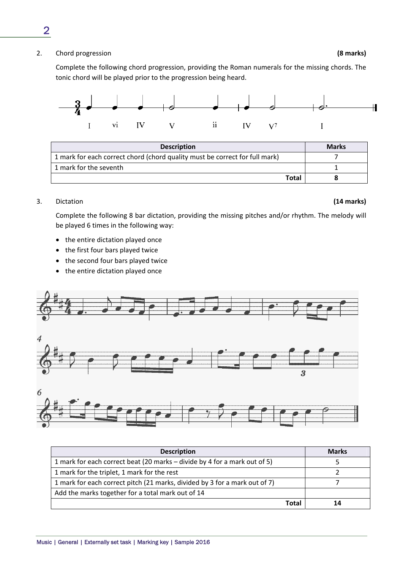2. Chord progression **(8 marks)**

Complete the following chord progression, providing the Roman numerals for the missing chords. The tonic chord will be played prior to the progression being heard.



| <b>Description</b>                                                          | <b>Marks</b> |
|-----------------------------------------------------------------------------|--------------|
| 1 mark for each correct chord (chord quality must be correct for full mark) |              |
| 1 mark for the seventh                                                      |              |
| <b>Total</b>                                                                |              |

### 3. Dictation **(14 marks)**

Complete the following 8 bar dictation, providing the missing pitches and/or rhythm. The melody will be played 6 times in the following way:

- the entire dictation played once
- the first four bars played twice
- the second four bars played twice
- the entire dictation played once



| <b>Description</b>                                                         | <b>Marks</b> |
|----------------------------------------------------------------------------|--------------|
| 1 mark for each correct beat (20 marks – divide by 4 for a mark out of 5)  |              |
| 1 mark for the triplet, 1 mark for the rest                                |              |
| 1 mark for each correct pitch (21 marks, divided by 3 for a mark out of 7) |              |
| Add the marks together for a total mark out of 14                          |              |
| Total                                                                      |              |

2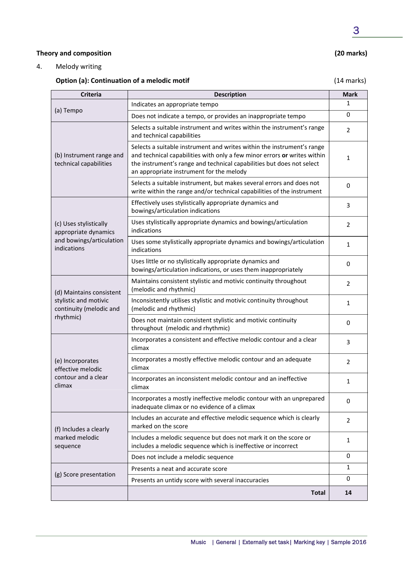#### **Theory and composition (20 marks)**

4. Melody writing

## **Option (a): Continuation of a melodic motif** (14 marks)

| <b>Criteria</b>                                                        | <b>Description</b>                                                                                                                                                                                                                                                      | <b>Mark</b>    |
|------------------------------------------------------------------------|-------------------------------------------------------------------------------------------------------------------------------------------------------------------------------------------------------------------------------------------------------------------------|----------------|
| (a) Tempo                                                              | Indicates an appropriate tempo                                                                                                                                                                                                                                          | 1              |
|                                                                        | Does not indicate a tempo, or provides an inappropriate tempo                                                                                                                                                                                                           | $\mathbf 0$    |
|                                                                        | Selects a suitable instrument and writes within the instrument's range<br>and technical capabilities                                                                                                                                                                    | 2              |
| (b) Instrument range and<br>technical capabilities                     | Selects a suitable instrument and writes within the instrument's range<br>and technical capabilities with only a few minor errors or writes within<br>the instrument's range and technical capabilities but does not select<br>an appropriate instrument for the melody | 1              |
|                                                                        | Selects a suitable instrument, but makes several errors and does not<br>write within the range and/or technical capabilities of the instrument                                                                                                                          | $\mathbf 0$    |
|                                                                        | Effectively uses stylistically appropriate dynamics and<br>bowings/articulation indications                                                                                                                                                                             | 3              |
| (c) Uses stylistically<br>appropriate dynamics                         | Uses stylistically appropriate dynamics and bowings/articulation<br>indications                                                                                                                                                                                         | $\overline{2}$ |
| and bowings/articulation<br>indications                                | Uses some stylistically appropriate dynamics and bowings/articulation<br>indications                                                                                                                                                                                    | 1              |
|                                                                        | Uses little or no stylistically appropriate dynamics and<br>bowings/articulation indications, or uses them inappropriately                                                                                                                                              | $\mathbf 0$    |
| (d) Maintains consistent                                               | Maintains consistent stylistic and motivic continuity throughout<br>(melodic and rhythmic)                                                                                                                                                                              | $\overline{2}$ |
| stylistic and motivic<br>continuity (melodic and                       | Inconsistently utilises stylistic and motivic continuity throughout<br>(melodic and rhythmic)                                                                                                                                                                           | 1              |
| rhythmic)                                                              | Does not maintain consistent stylistic and motivic continuity<br>throughout (melodic and rhythmic)                                                                                                                                                                      | $\mathbf 0$    |
| (e) Incorporates<br>effective melodic<br>contour and a clear<br>climax | Incorporates a consistent and effective melodic contour and a clear<br>climax                                                                                                                                                                                           | 3              |
|                                                                        | Incorporates a mostly effective melodic contour and an adequate<br>climax                                                                                                                                                                                               | $\overline{2}$ |
|                                                                        | Incorporates an inconsistent melodic contour and an ineffective<br>climax                                                                                                                                                                                               | 1              |
|                                                                        | Incorporates a mostly ineffective melodic contour with an unprepared<br>inadequate climax or no evidence of a climax                                                                                                                                                    | 0              |
| (f) Includes a clearly                                                 | Includes an accurate and effective melodic sequence which is clearly<br>marked on the score                                                                                                                                                                             | $\overline{2}$ |
| marked melodic<br>sequence                                             | Includes a melodic sequence but does not mark it on the score or<br>includes a melodic sequence which is ineffective or incorrect                                                                                                                                       | $\mathbf{1}$   |
| Does not include a melodic sequence                                    |                                                                                                                                                                                                                                                                         | 0              |
|                                                                        | Presents a neat and accurate score                                                                                                                                                                                                                                      |                |
| (g) Score presentation                                                 | Presents an untidy score with several inaccuracies                                                                                                                                                                                                                      | $\mathbf 0$    |
|                                                                        | <b>Total</b>                                                                                                                                                                                                                                                            | 14             |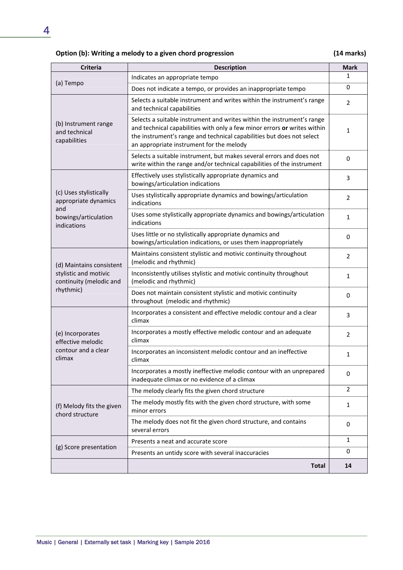## **Option (b): Writing a melody to a given chord progression (14 marks)**

| <b>Criteria</b>                                               | <b>Description</b>                                                                                                                                                                                                                                                      | <b>Mark</b>    |
|---------------------------------------------------------------|-------------------------------------------------------------------------------------------------------------------------------------------------------------------------------------------------------------------------------------------------------------------------|----------------|
|                                                               | Indicates an appropriate tempo                                                                                                                                                                                                                                          | 1              |
| (a) Tempo                                                     | Does not indicate a tempo, or provides an inappropriate tempo                                                                                                                                                                                                           | $\mathbf 0$    |
|                                                               | Selects a suitable instrument and writes within the instrument's range<br>and technical capabilities                                                                                                                                                                    | $\overline{2}$ |
| (b) Instrument range<br>and technical<br>capabilities         | Selects a suitable instrument and writes within the instrument's range<br>and technical capabilities with only a few minor errors or writes within<br>the instrument's range and technical capabilities but does not select<br>an appropriate instrument for the melody | 1              |
|                                                               | Selects a suitable instrument, but makes several errors and does not<br>write within the range and/or technical capabilities of the instrument                                                                                                                          | 0              |
|                                                               | Effectively uses stylistically appropriate dynamics and<br>bowings/articulation indications                                                                                                                                                                             | 3              |
| (c) Uses stylistically<br>appropriate dynamics<br>and         | Uses stylistically appropriate dynamics and bowings/articulation<br>indications                                                                                                                                                                                         | $\overline{2}$ |
| bowings/articulation<br>indications                           | Uses some stylistically appropriate dynamics and bowings/articulation<br>indications                                                                                                                                                                                    | 1              |
|                                                               | Uses little or no stylistically appropriate dynamics and<br>bowings/articulation indications, or uses them inappropriately                                                                                                                                              | 0              |
| (d) Maintains consistent                                      | Maintains consistent stylistic and motivic continuity throughout<br>(melodic and rhythmic)                                                                                                                                                                              | $\overline{2}$ |
| stylistic and motivic<br>continuity (melodic and<br>rhythmic) | Inconsistently utilises stylistic and motivic continuity throughout<br>(melodic and rhythmic)                                                                                                                                                                           | 1              |
|                                                               | Does not maintain consistent stylistic and motivic continuity<br>throughout (melodic and rhythmic)                                                                                                                                                                      | $\mathbf 0$    |
|                                                               | Incorporates a consistent and effective melodic contour and a clear<br>climax                                                                                                                                                                                           | 3              |
| (e) Incorporates<br>effective melodic                         | Incorporates a mostly effective melodic contour and an adequate<br>climax                                                                                                                                                                                               | 2              |
| contour and a clear<br>climax                                 | Incorporates an inconsistent melodic contour and an ineffective<br>climax                                                                                                                                                                                               | 1              |
|                                                               | Incorporates a mostly ineffective melodic contour with an unprepared<br>inadequate climax or no evidence of a climax                                                                                                                                                    | $\mathbf 0$    |
|                                                               | The melody clearly fits the given chord structure                                                                                                                                                                                                                       | $\overline{2}$ |
| (f) Melody fits the given<br>chord structure                  | The melody mostly fits with the given chord structure, with some<br>minor errors                                                                                                                                                                                        | $\mathbf{1}$   |
|                                                               | The melody does not fit the given chord structure, and contains<br>several errors                                                                                                                                                                                       | 0              |
|                                                               | Presents a neat and accurate score                                                                                                                                                                                                                                      | 1              |
| (g) Score presentation                                        | Presents an untidy score with several inaccuracies                                                                                                                                                                                                                      | 0              |
|                                                               | <b>Total</b>                                                                                                                                                                                                                                                            | 14             |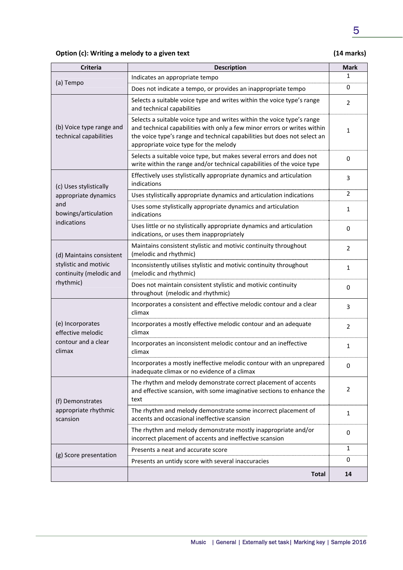## 5

## **Option (c): Writing a melody to a given text (14 marks)**

| <b>Criteria</b>                                    | <b>Description</b>                                                                                                                                                                                                                                                      | <b>Mark</b>    |
|----------------------------------------------------|-------------------------------------------------------------------------------------------------------------------------------------------------------------------------------------------------------------------------------------------------------------------------|----------------|
|                                                    | Indicates an appropriate tempo                                                                                                                                                                                                                                          | 1              |
| (a) Tempo                                          | Does not indicate a tempo, or provides an inappropriate tempo                                                                                                                                                                                                           | $\mathbf 0$    |
|                                                    | Selects a suitable voice type and writes within the voice type's range<br>and technical capabilities                                                                                                                                                                    | 2              |
| (b) Voice type range and<br>technical capabilities | Selects a suitable voice type and writes within the voice type's range<br>and technical capabilities with only a few minor errors or writes within<br>the voice type's range and technical capabilities but does not select an<br>appropriate voice type for the melody | 1              |
|                                                    | Selects a suitable voice type, but makes several errors and does not<br>write within the range and/or technical capabilities of the voice type                                                                                                                          | $\mathbf 0$    |
| (c) Uses stylistically                             | Effectively uses stylistically appropriate dynamics and articulation<br>indications                                                                                                                                                                                     | 3              |
| appropriate dynamics                               | Uses stylistically appropriate dynamics and articulation indications                                                                                                                                                                                                    | $\overline{2}$ |
| and<br>bowings/articulation                        | Uses some stylistically appropriate dynamics and articulation<br>indications                                                                                                                                                                                            | 1              |
| indications                                        | Uses little or no stylistically appropriate dynamics and articulation<br>indications, or uses them inappropriately                                                                                                                                                      | $\mathbf 0$    |
| (d) Maintains consistent                           | Maintains consistent stylistic and motivic continuity throughout<br>(melodic and rhythmic)                                                                                                                                                                              | 2              |
| stylistic and motivic<br>continuity (melodic and   | Inconsistently utilises stylistic and motivic continuity throughout<br>(melodic and rhythmic)                                                                                                                                                                           | 1              |
| rhythmic)                                          | Does not maintain consistent stylistic and motivic continuity<br>throughout (melodic and rhythmic)                                                                                                                                                                      | 0              |
|                                                    | Incorporates a consistent and effective melodic contour and a clear<br>climax                                                                                                                                                                                           | 3              |
| (e) Incorporates<br>effective melodic              | Incorporates a mostly effective melodic contour and an adequate<br>climax                                                                                                                                                                                               | $\overline{2}$ |
| contour and a clear<br>climax                      | Incorporates an inconsistent melodic contour and an ineffective<br>climax                                                                                                                                                                                               | $\mathbf{1}$   |
|                                                    | Incorporates a mostly ineffective melodic contour with an unprepared<br>inadequate climax or no evidence of a climax                                                                                                                                                    | 0              |
| (f) Demonstrates                                   | The rhythm and melody demonstrate correct placement of accents<br>and effective scansion, with some imaginative sections to enhance the<br>text                                                                                                                         | 2              |
| appropriate rhythmic<br>scansion                   | The rhythm and melody demonstrate some incorrect placement of<br>accents and occasional ineffective scansion                                                                                                                                                            | $\mathbf{1}$   |
|                                                    | The rhythm and melody demonstrate mostly inappropriate and/or<br>incorrect placement of accents and ineffective scansion                                                                                                                                                | 0              |
| (g) Score presentation                             | Presents a neat and accurate score                                                                                                                                                                                                                                      | 1              |
|                                                    | Presents an untidy score with several inaccuracies                                                                                                                                                                                                                      | 0              |
|                                                    | <b>Total</b>                                                                                                                                                                                                                                                            | 14             |